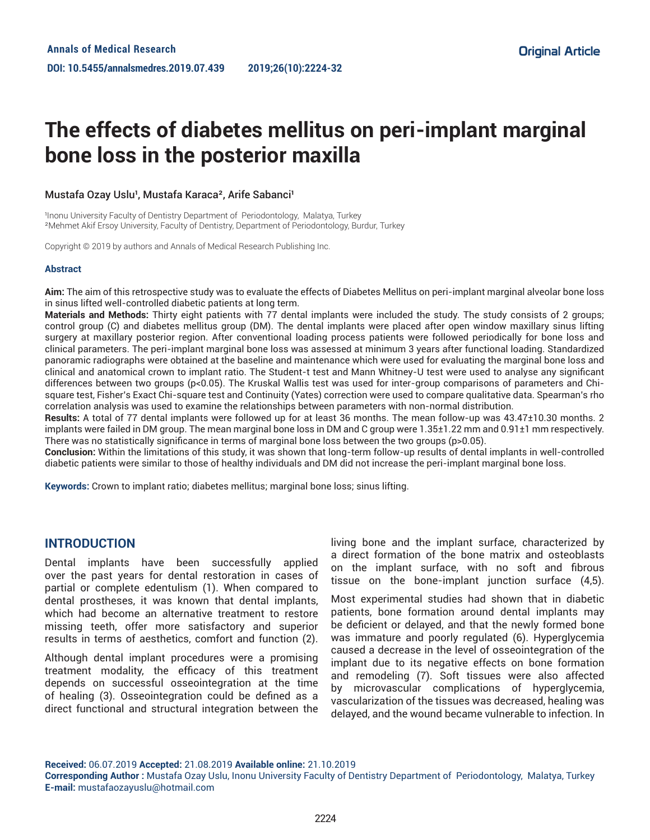# **The effects of diabetes mellitus on peri-implant marginal bone loss in the posterior maxilla**

### Mustafa Ozay Uslu<sup>1</sup>, Mustafa Karaca<sup>2</sup>, Arife Sabanci<sup>1</sup>

Inonu University Faculty of Dentistry Department of Periodontology, Malatya, Turkey ²Mehmet Akif Ersoy University, Faculty of Dentistry, Department of Periodontology, Burdur, Turkey

Copyright © 2019 by authors and Annals of Medical Research Publishing Inc.

#### **Abstract**

**Aim:** The aim of this retrospective study was to evaluate the effects of Diabetes Mellitus on peri-implant marginal alveolar bone loss in sinus lifted well-controlled diabetic patients at long term.

**Materials and Methods:** Thirty eight patients with 77 dental implants were included the study. The study consists of 2 groups; control group (C) and diabetes mellitus group (DM). The dental implants were placed after open window maxillary sinus lifting surgery at maxillary posterior region. After conventional loading process patients were followed periodically for bone loss and clinical parameters. The peri-implant marginal bone loss was assessed at minimum 3 years after functional loading. Standardized panoramic radiographs were obtained at the baseline and maintenance which were used for evaluating the marginal bone loss and clinical and anatomical crown to implant ratio. The Student-t test and Mann Whitney-U test were used to analyse any significant differences between two groups (p<0.05). The Kruskal Wallis test was used for inter-group comparisons of parameters and Chisquare test, Fisher's Exact Chi-square test and Continuity (Yates) correction were used to compare qualitative data. Spearman's rho correlation analysis was used to examine the relationships between parameters with non-normal distribution.

**Results:** A total of 77 dental implants were followed up for at least 36 months. The mean follow-up was 43.47±10.30 months. 2 implants were failed in DM group. The mean marginal bone loss in DM and C group were 1.35±1.22 mm and 0.91±1 mm respectively. There was no statistically significance in terms of marginal bone loss between the two groups (p>0.05).

**Conclusion:** Within the limitations of this study, it was shown that long-term follow-up results of dental implants in well-controlled diabetic patients were similar to those of healthy individuals and DM did not increase the peri-implant marginal bone loss.

**Keywords:** Crown to implant ratio; diabetes mellitus; marginal bone loss; sinus lifting.

## **INTRODUCTION**

Dental implants have been successfully applied over the past years for dental restoration in cases of partial or complete edentulism (1). When compared to dental prostheses, it was known that dental implants, which had become an alternative treatment to restore missing teeth, offer more satisfactory and superior results in terms of aesthetics, comfort and function (2).

Although dental implant procedures were a promising treatment modality, the efficacy of this treatment depends on successful osseointegration at the time of healing (3). Osseointegration could be defined as a direct functional and structural integration between the

living bone and the implant surface, characterized by a direct formation of the bone matrix and osteoblasts on the implant surface, with no soft and fibrous tissue on the bone-implant junction surface (4,5).

Most experimental studies had shown that in diabetic patients, bone formation around dental implants may be deficient or delayed, and that the newly formed bone was immature and poorly regulated (6). Hyperglycemia caused a decrease in the level of osseointegration of the implant due to its negative effects on bone formation and remodeling (7). Soft tissues were also affected by microvascular complications of hyperglycemia, vascularization of the tissues was decreased, healing was delayed, and the wound became vulnerable to infection. In

**Received:** 06.07.2019 **Accepted:** 21.08.2019 **Available online:** 21.10.2019

**Corresponding Author :** Mustafa Ozay Uslu, Inonu University Faculty of Dentistry Department of Periodontology, Malatya, Turkey **E-mail:** mustafaozayuslu@hotmail.com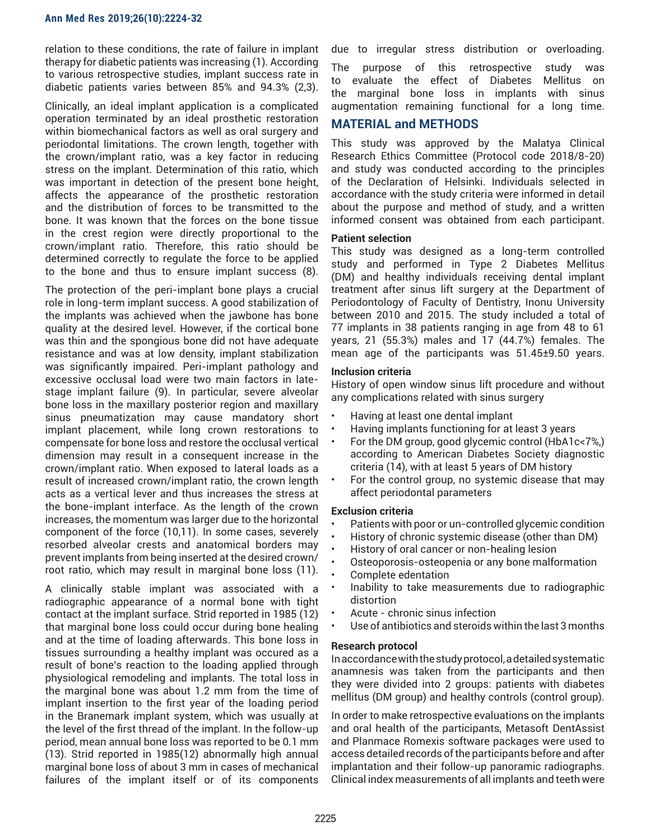#### **Ann Med Res 2019;26(10):2224-32**

relation to these conditions, the rate of failure in implant therapy for diabetic patients was increasing (1). According to various retrospective studies, implant success rate in diabetic patients varies between 85% and 94.3% (2,3).

Clinically, an ideal implant application is a complicated operation terminated by an ideal prosthetic restoration within biomechanical factors as well as oral surgery and periodontal limitations. The crown length, together with the crown/implant ratio, was a key factor in reducing stress on the implant. Determination of this ratio, which was important in detection of the present bone height, affects the appearance of the prosthetic restoration and the distribution of forces to be transmitted to the bone. It was known that the forces on the bone tissue in the crest region were directly proportional to the crown/implant ratio. Therefore, this ratio should be determined correctly to regulate the force to be applied to the bone and thus to ensure implant success (8).

The protection of the peri-implant bone plays a crucial role in long-term implant success. A good stabilization of the implants was achieved when the jawbone has bone quality at the desired level. However, if the cortical bone was thin and the spongious bone did not have adequate resistance and was at low density, implant stabilization was significantly impaired. Peri-implant pathology and excessive occlusal load were two main factors in latestage implant failure (9). In particular, severe alveolar bone loss in the maxillary posterior region and maxillary sinus pneumatization may cause mandatory short implant placement, while long crown restorations to compensate for bone loss and restore the occlusal vertical dimension may result in a consequent increase in the crown/implant ratio. When exposed to lateral loads as a result of increased crown/implant ratio, the crown length acts as a vertical lever and thus increases the stress at the bone-implant interface. As the length of the crown increases, the momentum was larger due to the horizontal component of the force (10,11). In some cases, severely resorbed alveolar crests and anatomical borders may prevent implants from being inserted at the desired crown/ root ratio, which may result in marginal bone loss (11).

A clinically stable implant was associated with a radiographic appearance of a normal bone with tight contact at the implant surface. Strid reported in 1985 (12) that marginal bone loss could occur during bone healing and at the time of loading afterwards. This bone loss in tissues surrounding a healthy implant was occured as a result of bone's reaction to the loading applied through physiological remodeling and implants. The total loss in the marginal bone was about 1.2 mm from the time of implant insertion to the first year of the loading period in the Branemark implant system, which was usually at the level of the first thread of the implant. In the follow-up period, mean annual bone loss was reported to be 0.1 mm (13). Strid reported in 1985(12) abnormally high annual marginal bone loss of about 3 mm in cases of mechanical failures of the implant itself or of its components

due to irregular stress distribution or overloading.

The purpose of this retrospective study was to evaluate the effect of Diabetes Mellitus on the marginal bone loss in implants with sinus augmentation remaining functional for a long time.

## **MATERIAL and METHODS**

This study was approved by the Malatya Clinical Research Ethics Committee (Protocol code 2018/8-20) and study was conducted according to the principles of the Declaration of Helsinki. Individuals selected in accordance with the study criteria were informed in detail about the purpose and method of study, and a written informed consent was obtained from each participant.

### **Patient selection**

This study was designed as a long-term controlled study and performed in Type 2 Diabetes Mellitus (DM) and healthy individuals receiving dental implant treatment after sinus lift surgery at the Department of Periodontology of Faculty of Dentistry, Inonu University between 2010 and 2015. The study included a total of 77 implants in 38 patients ranging in age from 48 to 61 years, 21 (55.3%) males and 17 (44.7%) females. The mean age of the participants was 51.45±9.50 years.

#### **Inclusion criteria**

History of open window sinus lift procedure and without any complications related with sinus surgery

- Having at least one dental implant
- Having implants functioning for at least 3 years
- For the DM group, good glycemic control (HbA1c<7%,) according to American Diabetes Society diagnostic criteria (14), with at least 5 years of DM history
- For the control group, no systemic disease that may affect periodontal parameters

#### **Exclusion criteria**

- Patients with poor or un-controlled glycemic condition<br>• History of chronic systemic disease (other than DM)
- History of chronic systemic disease (other than DM)<br>• History of oral cancer or non-healing lesion
- History of oral cancer or non-healing lesion
- Osteoporosis-osteopenia or any bone malformation
- Complete edentation
- Inability to take measurements due to radiographic distortion
- Acute chronic sinus infection
- Use of antibiotics and steroids within the last 3 months

#### **Research protocol**

In accordance with the study protocol, a detailed systematic anamnesis was taken from the participants and then they were divided into 2 groups: patients with diabetes mellitus (DM group) and healthy controls (control group).

In order to make retrospective evaluations on the implants and oral health of the participants, Metasoft DentAssist and Planmace Romexis software packages were used to access detailed records of the participants before and after implantation and their follow-up panoramic radiographs. Clinical index measurements of all implants and teeth were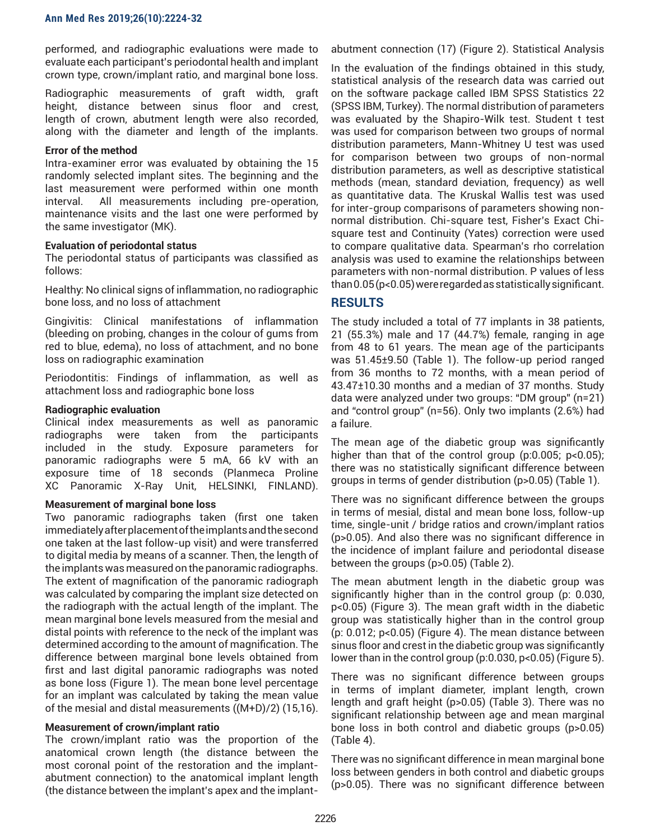performed, and radiographic evaluations were made to evaluate each participant's periodontal health and implant crown type, crown/implant ratio, and marginal bone loss.

Radiographic measurements of graft width, graft height, distance between sinus floor and crest, length of crown, abutment length were also recorded, along with the diameter and length of the implants.

## **Error of the method**

Intra-examiner error was evaluated by obtaining the 15 randomly selected implant sites. The beginning and the last measurement were performed within one month interval. All measurements including pre-operation, maintenance visits and the last one were performed by the same investigator (MK).

### **Evaluation of periodontal status**

The periodontal status of participants was classified as follows:

Healthy: No clinical signs of inflammation, no radiographic bone loss, and no loss of attachment

Gingivitis: Clinical manifestations of inflammation (bleeding on probing, changes in the colour of gums from red to blue, edema), no loss of attachment, and no bone loss on radiographic examination

Periodontitis: Findings of inflammation, as well as attachment loss and radiographic bone loss

## **Radiographic evaluation**

Clinical index measurements as well as panoramic radiographs were taken from the participants included in the study. Exposure parameters for panoramic radiographs were 5 mA, 66 kV with an exposure time of 18 seconds (Planmeca Proline XC Panoramic X-Ray Unit, HELSINKI, FINLAND).

## **Measurement of marginal bone loss**

Two panoramic radiographs taken (first one taken immediately after placement of the implants and the second one taken at the last follow-up visit) and were transferred to digital media by means of a scanner. Then, the length of the implants was measured on the panoramic radiographs. The extent of magnification of the panoramic radiograph was calculated by comparing the implant size detected on the radiograph with the actual length of the implant. The mean marginal bone levels measured from the mesial and distal points with reference to the neck of the implant was determined according to the amount of magnification. The difference between marginal bone levels obtained from first and last digital panoramic radiographs was noted as bone loss (Figure 1). The mean bone level percentage for an implant was calculated by taking the mean value of the mesial and distal measurements ((M+D)/2) (15,16).

## **Measurement of crown/implant ratio**

The crown/implant ratio was the proportion of the anatomical crown length (the distance between the most coronal point of the restoration and the implantabutment connection) to the anatomical implant length (the distance between the implant's apex and the implant-

abutment connection (17) (Figure 2). Statistical Analysis

In the evaluation of the findings obtained in this study, statistical analysis of the research data was carried out on the software package called IBM SPSS Statistics 22 (SPSS IBM, Turkey). The normal distribution of parameters was evaluated by the Shapiro-Wilk test. Student t test was used for comparison between two groups of normal distribution parameters, Mann-Whitney U test was used for comparison between two groups of non-normal distribution parameters, as well as descriptive statistical methods (mean, standard deviation, frequency) as well as quantitative data. The Kruskal Wallis test was used for inter-group comparisons of parameters showing nonnormal distribution. Chi-square test, Fisher's Exact Chisquare test and Continuity (Yates) correction were used to compare qualitative data. Spearman's rho correlation analysis was used to examine the relationships between parameters with non-normal distribution. P values of less than 0.05 (p<0.05) were regarded as statistically significant.

# **RESULTS**

The study included a total of 77 implants in 38 patients, 21 (55.3%) male and 17 (44.7%) female, ranging in age from 48 to 61 years. The mean age of the participants was 51.45±9.50 (Table 1). The follow-up period ranged from 36 months to 72 months, with a mean period of 43.47±10.30 months and a median of 37 months. Study data were analyzed under two groups: "DM group" (n=21) and "control group" (n=56). Only two implants (2.6%) had a failure.

The mean age of the diabetic group was significantly higher than that of the control group (p:0.005; p<0.05); there was no statistically significant difference between groups in terms of gender distribution (p>0.05) (Table 1).

There was no significant difference between the groups in terms of mesial, distal and mean bone loss, follow-up time, single-unit / bridge ratios and crown/implant ratios (p>0.05). And also there was no significant difference in the incidence of implant failure and periodontal disease between the groups (p>0.05) (Table 2).

The mean abutment length in the diabetic group was significantly higher than in the control group (p: 0.030, p<0.05) (Figure 3). The mean graft width in the diabetic group was statistically higher than in the control group (p: 0.012; p<0.05) (Figure 4). The mean distance between sinus floor and crest in the diabetic group was significantly lower than in the control group (p:0.030, p<0.05) (Figure 5).

There was no significant difference between groups in terms of implant diameter, implant length, crown length and graft height (p>0.05) (Table 3). There was no significant relationship between age and mean marginal bone loss in both control and diabetic groups (p>0.05) (Table 4).

There was no significant difference in mean marginal bone loss between genders in both control and diabetic groups (p>0.05). There was no significant difference between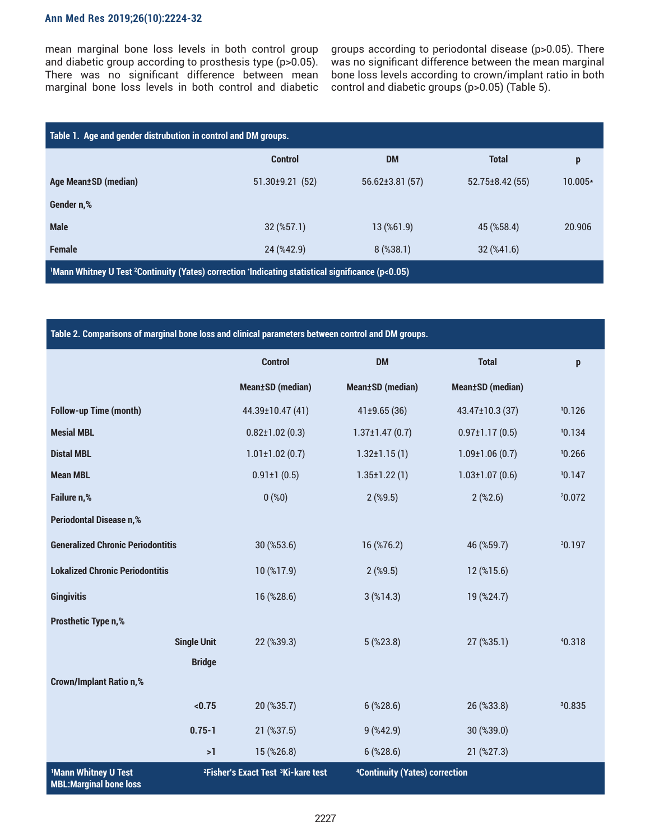## **Ann Med Res 2019;26(10):2224-32**

mean marginal bone loss levels in both control group and diabetic group according to prosthesis type (p>0.05). There was no significant difference between mean marginal bone loss levels in both control and diabetic

groups according to periodontal disease (p>0.05). There was no significant difference between the mean marginal bone loss levels according to crown/implant ratio in both control and diabetic groups (p>0.05) (Table 5).

| Table 1. Age and gender distrubution in control and DM groups.                                                            |                       |                      |                                    |         |
|---------------------------------------------------------------------------------------------------------------------------|-----------------------|----------------------|------------------------------------|---------|
|                                                                                                                           | <b>Control</b>        | <b>DM</b>            | <b>Total</b>                       | p       |
| Age Mean±SD (median)                                                                                                      | $51.30 \pm 9.21$ (52) | $56.62 \pm 3.81(57)$ | $52.75 \pm 8.42(55)$               | 10.005* |
| Gender n,%                                                                                                                |                       |                      |                                    |         |
| <b>Male</b>                                                                                                               | $32$ (%57.1)          | 13 (%61.9)           | 45 (%58.4)                         | 20.906  |
| <b>Female</b>                                                                                                             | 24 (%42.9)            | $8$ (%38.1)          | $32 \left( \frac{6}{41.6} \right)$ |         |
| <sup>1</sup> Mann Whitney U Test <sup>2</sup> Continuity (Yates) correction 'Indicating statistical significance (p<0.05) |                       |                      |                                    |         |

| Table 2. Comparisons of marginal bone loss and clinical parameters between control and DM groups. |                    |                                                            |                                            |                          |                    |
|---------------------------------------------------------------------------------------------------|--------------------|------------------------------------------------------------|--------------------------------------------|--------------------------|--------------------|
|                                                                                                   |                    | <b>Control</b>                                             | <b>DM</b>                                  | <b>Total</b>             | p                  |
|                                                                                                   |                    | <b>Mean±SD</b> (median)                                    | <b>Mean±SD</b> (median)                    | <b>Mean</b> ±SD (median) |                    |
| <b>Follow-up Time (month)</b>                                                                     |                    | 44.39±10.47(41)                                            | 41±9.65(36)                                | 43.47±10.3 (37)          | 10.126             |
| <b>Mesial MBL</b>                                                                                 |                    | $0.82 \pm 1.02$ (0.3)                                      | $1.37 \pm 1.47(0.7)$                       | $0.97 \pm 1.17(0.5)$     | 10.134             |
| <b>Distal MBL</b>                                                                                 |                    | $1.01 \pm 1.02$ (0.7)                                      | $1.32 \pm 1.15(1)$                         | $1.09 \pm 1.06(0.7)$     | 10.266             |
| <b>Mean MBL</b>                                                                                   |                    | $0.91 \pm 1(0.5)$                                          | $1.35 \pm 1.22(1)$                         | $1.03 \pm 1.07(0.6)$     | 10.147             |
| Failure n,%                                                                                       |                    | 0(%0)                                                      | $2$ (%9.5)                                 | $2$ (%2.6)               | 20.072             |
| <b>Periodontal Disease n,%</b>                                                                    |                    |                                                            |                                            |                          |                    |
| <b>Generalized Chronic Periodontitis</b>                                                          |                    | 30 (%53.6)                                                 | 16 (%76.2)                                 | 46 (%59.7)               | <sup>3</sup> 0.197 |
| <b>Lokalized Chronic Periodontitis</b>                                                            |                    | 10 (%17.9)                                                 | $2$ (%9.5)                                 | 12 (%15.6)               |                    |
| <b>Gingivitis</b>                                                                                 |                    | 16 (%28.6)                                                 | $3$ (%14.3)                                | 19 (%24.7)               |                    |
| <b>Prosthetic Type n,%</b>                                                                        |                    |                                                            |                                            |                          |                    |
|                                                                                                   | <b>Single Unit</b> | 22 (%39.3)                                                 | $5$ (%23.8)                                | 27 (%35.1)               | 40.318             |
|                                                                                                   | <b>Bridge</b>      |                                                            |                                            |                          |                    |
| <b>Crown/Implant Ratio n,%</b>                                                                    |                    |                                                            |                                            |                          |                    |
|                                                                                                   | < 0.75             | 20 (%35.7)                                                 | $6$ (%28.6)                                | 26 (%33.8)               | 30.835             |
|                                                                                                   | $0.75 - 1$         | 21 (%37.5)                                                 | 9( %42.9)                                  | 30 (%39.0)               |                    |
|                                                                                                   | >1                 | 15 (%26.8)                                                 | $6$ (%28.6)                                | 21 (%27.3)               |                    |
| <b>Mann Whitney U Test</b><br><b>MBL:Marginal bone loss</b>                                       |                    | <sup>2</sup> Fisher's Exact Test <sup>3</sup> Ki-kare test | <sup>4</sup> Continuity (Yates) correction |                          |                    |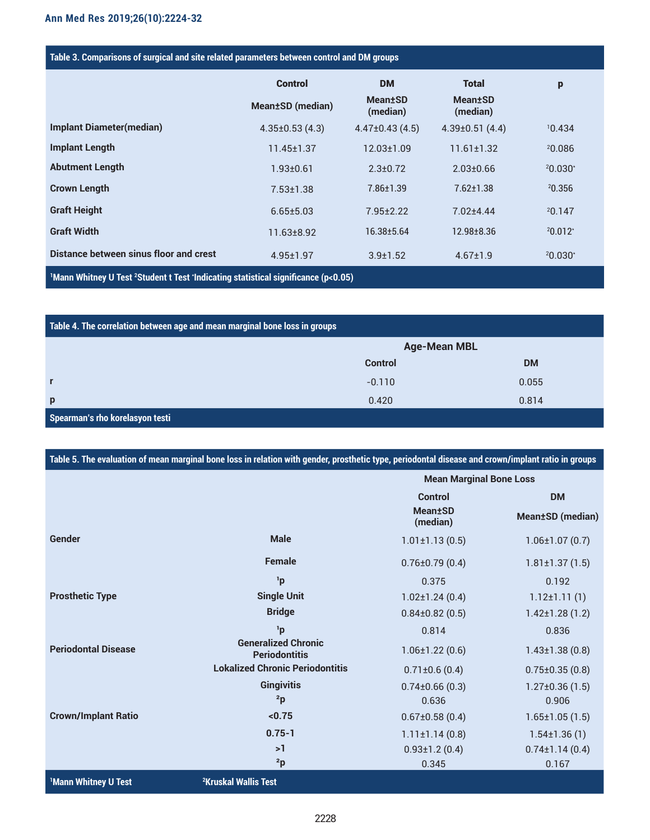| Table 3. Comparisons of surgical and site related parameters between control and DM groups                 |                    |                                         |                                         |            |
|------------------------------------------------------------------------------------------------------------|--------------------|-----------------------------------------|-----------------------------------------|------------|
|                                                                                                            | <b>Control</b>     | <b>DM</b>                               | Total                                   | p          |
|                                                                                                            | Mean±SD (median)   | <b>Mean</b> <sup>t</sup> SD<br>(median) | <b>Mean</b> <sup>t</sup> SD<br>(median) |            |
| <b>Implant Diameter(median)</b>                                                                            | $4.35\pm0.53(4.3)$ | $4.47\pm0.43(4.5)$                      | $4.39\pm0.51(4.4)$                      | 10.434     |
| <b>Implant Length</b>                                                                                      | $11.45 \pm 1.37$   | $12.03 \pm 1.09$                        | $11.61 \pm 1.32$                        | 20.086     |
| <b>Abutment Length</b>                                                                                     | $1.93 + 0.61$      | $2.3 \pm 0.72$                          | $2.03 \pm 0.66$                         | $20.030*$  |
| <b>Crown Length</b>                                                                                        | $7.53 \pm 1.38$    | 7.86±1.39                               | $7.62 \pm 1.38$                         | 20.356     |
| <b>Graft Height</b>                                                                                        | $6.65 \pm 5.03$    | $7.95 \pm 2.22$                         | $7.02 + 4.44$                           | 20.147     |
| <b>Graft Width</b>                                                                                         | $11.63 \pm 8.92$   | 16.38±5.64                              | 12.98±8.36                              | $20.012$ * |
| Distance between sinus floor and crest                                                                     | $4.95 \pm 1.97$    | $3.9 \pm 1.52$                          | $4.67 \pm 1.9$                          | $20.030*$  |
| <sup>1</sup> Mann Whitney U Test <sup>2</sup> Student t Test 'Indicating statistical significance (p<0.05) |                    |                                         |                                         |            |

| Table 4. The correlation between age and mean marginal bone loss in groups |                     |           |  |
|----------------------------------------------------------------------------|---------------------|-----------|--|
|                                                                            | <b>Age-Mean MBL</b> |           |  |
|                                                                            | <b>Control</b>      | <b>DM</b> |  |
| $\mathbf{r}$                                                               | $-0.110$            | 0.055     |  |
| p                                                                          | 0.420               | 0.814     |  |
| Spearman's rho korelasyon testi                                            |                     |           |  |

| Table 5. The evaluation of mean marginal bone loss in relation with gender, prosthetic type, periodontal disease and crown/implant ratio in groups |                                                    |                                |                          |  |
|----------------------------------------------------------------------------------------------------------------------------------------------------|----------------------------------------------------|--------------------------------|--------------------------|--|
|                                                                                                                                                    |                                                    | <b>Mean Marginal Bone Loss</b> |                          |  |
|                                                                                                                                                    |                                                    | <b>Control</b>                 | <b>DM</b>                |  |
|                                                                                                                                                    |                                                    | <b>Mean</b> ±SD<br>(median)    | <b>Mean</b> ±SD (median) |  |
| Gender                                                                                                                                             | <b>Male</b>                                        | $1.01 \pm 1.13(0.5)$           | $1.06 \pm 1.07(0.7)$     |  |
|                                                                                                                                                    | <b>Female</b>                                      | $0.76 \pm 0.79$ (0.4)          | $1.81 \pm 1.37(1.5)$     |  |
|                                                                                                                                                    | <sup>1</sup> p                                     | 0.375                          | 0.192                    |  |
| <b>Prosthetic Type</b>                                                                                                                             | <b>Single Unit</b>                                 | $1.02 \pm 1.24(0.4)$           | $1.12 \pm 1.11(1)$       |  |
|                                                                                                                                                    | <b>Bridge</b>                                      | $0.84\pm0.82(0.5)$             | $1.42 \pm 1.28(1.2)$     |  |
|                                                                                                                                                    | <sup>1</sup> p                                     | 0.814                          | 0.836                    |  |
| <b>Periodontal Disease</b>                                                                                                                         | <b>Generalized Chronic</b><br><b>Periodontitis</b> | $1.06 \pm 1.22(0.6)$           | $1.43 \pm 1.38(0.8)$     |  |
|                                                                                                                                                    | <b>Lokalized Chronic Periodontitis</b>             | $0.71 \pm 0.6$ (0.4)           | $0.75 \pm 0.35(0.8)$     |  |
|                                                                                                                                                    | <b>Gingivitis</b>                                  | $0.74\pm0.66(0.3)$             | $1.27 \pm 0.36(1.5)$     |  |
|                                                                                                                                                    | 2p                                                 | 0.636                          | 0.906                    |  |
| <b>Crown/Implant Ratio</b>                                                                                                                         | < 0.75                                             | $0.67 \pm 0.58$ (0.4)          | $1.65 \pm 1.05(1.5)$     |  |
|                                                                                                                                                    | $0.75 - 1$                                         | $1.11 \pm 1.14(0.8)$           | $1.54 \pm 1.36(1)$       |  |
|                                                                                                                                                    | >1                                                 | $0.93 \pm 1.2$ (0.4)           | $0.74 \pm 1.14(0.4)$     |  |
|                                                                                                                                                    | 2p                                                 | 0.345                          | 0.167                    |  |
| <sup>1</sup> Mann Whitney U Test                                                                                                                   | <sup>2</sup> Kruskal Wallis Test                   |                                |                          |  |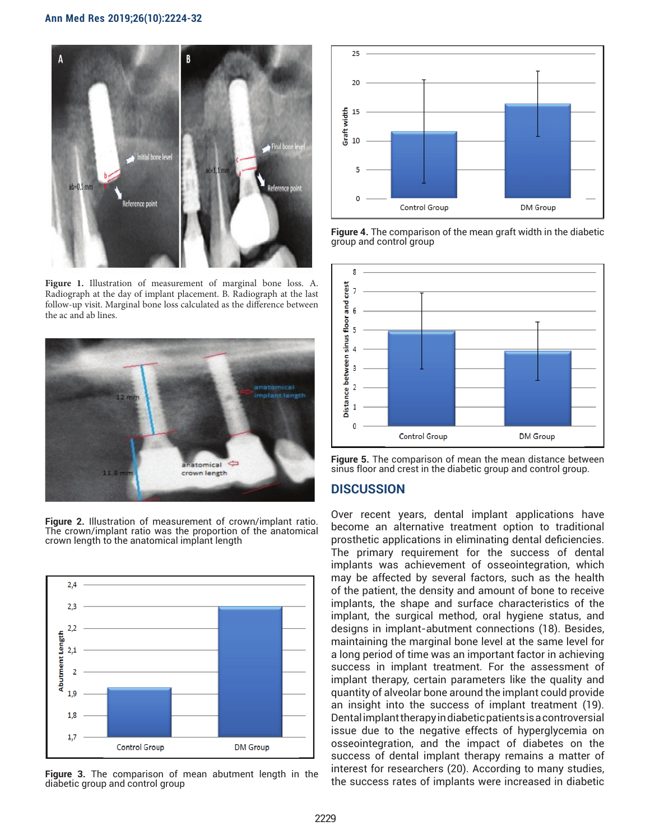

Figure 1. Illustration of measurement of marginal bone loss. A. Radiograph at the day of implant placement. B. Radiograph at the last follow-up visit. Marginal bone loss calculated as the difference between the ac and ab lines.



**Figure 2.** Illustration of measurement of crown/implant ratio. The crown/implant ratio was the proportion of the anatomical crown length to the anatomical implant length



**Figure 3.** The comparison of mean abutment length in the diabetic group and control group



**Figure 4.** The comparison of the mean graft width in the diabetic group and control group





# **DISCUSSION**

Over recent years, dental implant applications have become an alternative treatment option to traditional prosthetic applications in eliminating dental deficiencies. The primary requirement for the success of dental implants was achievement of osseointegration, which may be affected by several factors, such as the health of the patient, the density and amount of bone to receive implants, the shape and surface characteristics of the implant, the surgical method, oral hygiene status, and designs in implant-abutment connections (18). Besides, maintaining the marginal bone level at the same level for a long period of time was an important factor in achieving success in implant treatment. For the assessment of implant therapy, certain parameters like the quality and quantity of alveolar bone around the implant could provide an insight into the success of implant treatment (19). Dental implant therapy in diabetic patients is a controversial issue due to the negative effects of hyperglycemia on osseointegration, and the impact of diabetes on the success of dental implant therapy remains a matter of interest for researchers (20). According to many studies, the success rates of implants were increased in diabetic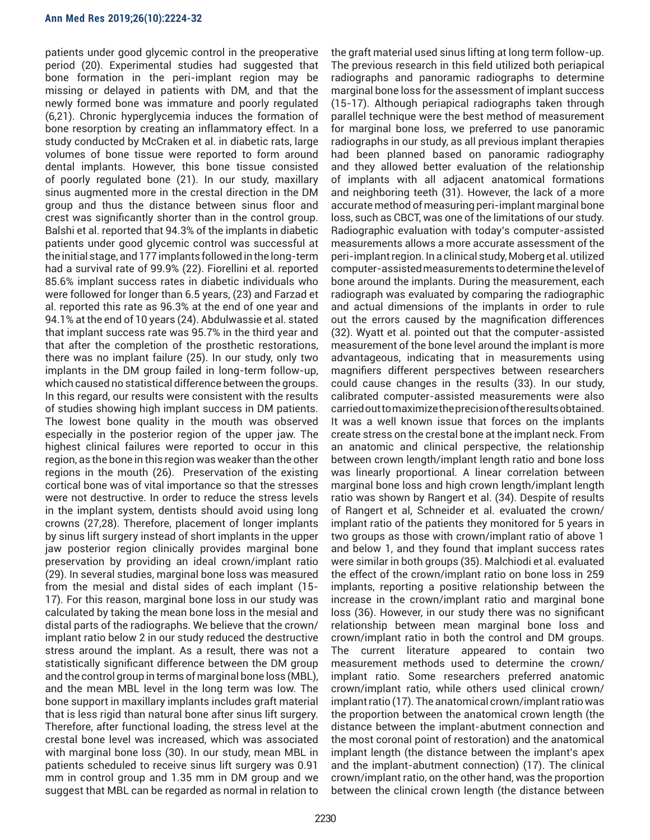patients under good glycemic control in the preoperative period (20). Experimental studies had suggested that bone formation in the peri-implant region may be missing or delayed in patients with DM, and that the newly formed bone was immature and poorly regulated (6,21). Chronic hyperglycemia induces the formation of bone resorption by creating an inflammatory effect. In a study conducted by McCraken et al. in diabetic rats, large volumes of bone tissue were reported to form around dental implants. However, this bone tissue consisted of poorly regulated bone (21). In our study, maxillary sinus augmented more in the crestal direction in the DM group and thus the distance between sinus floor and crest was significantly shorter than in the control group. Balshi et al. reported that 94.3% of the implants in diabetic patients under good glycemic control was successful at the initial stage, and 177 implants followed in the long-term had a survival rate of 99.9% (22). Fiorellini et al. reported 85.6% implant success rates in diabetic individuals who were followed for longer than 6.5 years, (23) and Farzad et al. reported this rate as 96.3% at the end of one year and 94.1% at the end of 10 years (24). Abdulwassie et al. stated that implant success rate was 95.7% in the third year and that after the completion of the prosthetic restorations, there was no implant failure (25). In our study, only two implants in the DM group failed in long-term follow-up, which caused no statistical difference between the groups. In this regard, our results were consistent with the results of studies showing high implant success in DM patients. The lowest bone quality in the mouth was observed especially in the posterior region of the upper jaw. The highest clinical failures were reported to occur in this region, as the bone in this region was weaker than the other regions in the mouth (26). Preservation of the existing cortical bone was of vital importance so that the stresses were not destructive. In order to reduce the stress levels in the implant system, dentists should avoid using long crowns (27,28). Therefore, placement of longer implants by sinus lift surgery instead of short implants in the upper jaw posterior region clinically provides marginal bone preservation by providing an ideal crown/implant ratio (29). In several studies, marginal bone loss was measured from the mesial and distal sides of each implant (15- 17). For this reason, marginal bone loss in our study was calculated by taking the mean bone loss in the mesial and distal parts of the radiographs. We believe that the crown/ implant ratio below 2 in our study reduced the destructive stress around the implant. As a result, there was not a statistically significant difference between the DM group and the control group in terms of marginal bone loss (MBL), and the mean MBL level in the long term was low. The bone support in maxillary implants includes graft material that is less rigid than natural bone after sinus lift surgery. Therefore, after functional loading, the stress level at the crestal bone level was increased, which was associated with marginal bone loss (30). In our study, mean MBL in patients scheduled to receive sinus lift surgery was 0.91 mm in control group and 1.35 mm in DM group and we suggest that MBL can be regarded as normal in relation to

the graft material used sinus lifting at long term follow-up. The previous research in this field utilized both periapical radiographs and panoramic radiographs to determine marginal bone loss for the assessment of implant success (15-17). Although periapical radiographs taken through parallel technique were the best method of measurement for marginal bone loss, we preferred to use panoramic radiographs in our study, as all previous implant therapies had been planned based on panoramic radiography and they allowed better evaluation of the relationship of implants with all adjacent anatomical formations and neighboring teeth (31). However, the lack of a more accurate method of measuring peri-implant marginal bone loss, such as CBCT, was one of the limitations of our study. Radiographic evaluation with today's computer-assisted measurements allows a more accurate assessment of the peri-implant region. In a clinical study, Moberg et al. utilized computer-assisted measurements to determine the level of bone around the implants. During the measurement, each radiograph was evaluated by comparing the radiographic and actual dimensions of the implants in order to rule out the errors caused by the magnification differences (32). Wyatt et al. pointed out that the computer-assisted measurement of the bone level around the implant is more advantageous, indicating that in measurements using magnifiers different perspectives between researchers could cause changes in the results (33). In our study, calibrated computer-assisted measurements were also carried out to maximize the precision of the results obtained. It was a well known issue that forces on the implants create stress on the crestal bone at the implant neck. From an anatomic and clinical perspective, the relationship between crown length/implant length ratio and bone loss was linearly proportional. A linear correlation between marginal bone loss and high crown length/implant length ratio was shown by Rangert et al. (34). Despite of results of Rangert et al, Schneider et al. evaluated the crown/ implant ratio of the patients they monitored for 5 years in two groups as those with crown/implant ratio of above 1 and below 1, and they found that implant success rates were similar in both groups (35). Malchiodi et al. evaluated the effect of the crown/implant ratio on bone loss in 259 implants, reporting a positive relationship between the increase in the crown/implant ratio and marginal bone loss (36). However, in our study there was no significant relationship between mean marginal bone loss and crown/implant ratio in both the control and DM groups. The current literature appeared to contain two measurement methods used to determine the crown/ implant ratio. Some researchers preferred anatomic crown/implant ratio, while others used clinical crown/ implant ratio (17). The anatomical crown/implant ratio was the proportion between the anatomical crown length (the distance between the implant-abutment connection and the most coronal point of restoration) and the anatomical implant length (the distance between the implant's apex and the implant-abutment connection) (17). The clinical crown/implant ratio, on the other hand, was the proportion between the clinical crown length (the distance between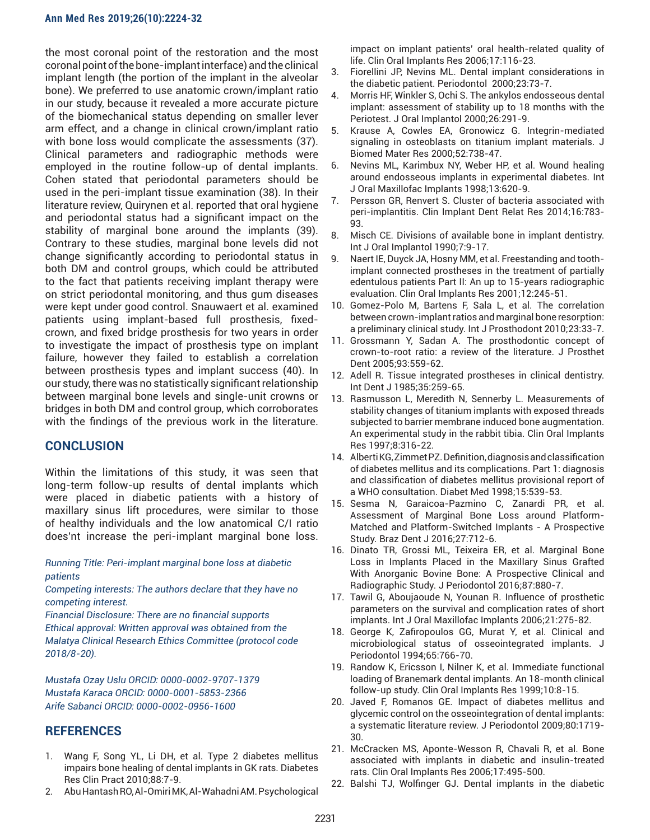#### **Ann Med Res 2019;26(10):2224-32**

the most coronal point of the restoration and the most coronal point of the bone-implant interface) and the clinical implant length (the portion of the implant in the alveolar bone). We preferred to use anatomic crown/implant ratio in our study, because it revealed a more accurate picture of the biomechanical status depending on smaller lever arm effect, and a change in clinical crown/implant ratio with bone loss would complicate the assessments (37). Clinical parameters and radiographic methods were employed in the routine follow-up of dental implants. Cohen stated that periodontal parameters should be used in the peri-implant tissue examination (38). In their literature review, Quirynen et al. reported that oral hygiene and periodontal status had a significant impact on the stability of marginal bone around the implants (39). Contrary to these studies, marginal bone levels did not change significantly according to periodontal status in both DM and control groups, which could be attributed to the fact that patients receiving implant therapy were on strict periodontal monitoring, and thus gum diseases were kept under good control. Snauwaert et al. examined patients using implant-based full prosthesis, fixedcrown, and fixed bridge prosthesis for two years in order to investigate the impact of prosthesis type on implant failure, however they failed to establish a correlation between prosthesis types and implant success (40). In our study, there was no statistically significant relationship between marginal bone levels and single-unit crowns or bridges in both DM and control group, which corroborates with the findings of the previous work in the literature.

# **CONCLUSION**

Within the limitations of this study, it was seen that long-term follow-up results of dental implants which were placed in diabetic patients with a history of maxillary sinus lift procedures, were similar to those of healthy individuals and the low anatomical C/I ratio does'nt increase the peri-implant marginal bone loss.

*Running Title: Peri-implant marginal bone loss at diabetic patients*

*Competing interests: The authors declare that they have no competing interest.* 

*Financial Disclosure: There are no financial supports Ethical approval: Written approval was obtained from the Malatya Clinical Research Ethics Committee (protocol code 2018/8-20).*

*Mustafa Ozay Uslu ORCID: 0000-0002-9707-1379 Mustafa Karaca ORCID: 0000-0001-5853-2366 Arife Sabanci ORCID: 0000-0002-0956-1600*

# **REFERENCES**

- 1. Wang F, Song YL, Li DH, et al. Type 2 diabetes mellitus impairs bone healing of dental implants in GK rats. Diabetes Res Clin Pract 2010;88:7-9.
- 2. Abu Hantash RO, Al-Omiri MK, Al-Wahadni AM. Psychological

impact on implant patients' oral health-related quality of life. Clin Oral Implants Res 2006;17:116-23.

- 3. Fiorellini JP, Nevins ML. Dental implant considerations in the diabetic patient. Periodontol 2000;23:73-7.
- 4. Morris HF, Winkler S, Ochi S. The ankylos endosseous dental implant: assessment of stability up to 18 months with the Periotest. J Oral Implantol 2000;26:291-9.
- 5. Krause A, Cowles EA, Gronowicz G. Integrin-mediated signaling in osteoblasts on titanium implant materials. J Biomed Mater Res 2000;52:738-47.
- 6. Nevins ML, Karimbux NY, Weber HP, et al. Wound healing around endosseous implants in experimental diabetes. Int J Oral Maxillofac Implants 1998;13:620-9.
- 7. Persson GR, Renvert S. Cluster of bacteria associated with peri-implantitis. Clin Implant Dent Relat Res 2014;16:783- 93.
- 8. Misch CE. Divisions of available bone in implant dentistry. Int J Oral Implantol 1990;7:9-17.
- 9. Naert IE, Duyck JA, Hosny MM, et al. Freestanding and toothimplant connected prostheses in the treatment of partially edentulous patients Part II: An up to 15-years radiographic evaluation. Clin Oral Implants Res 2001;12:245-51.
- 10. Gomez-Polo M, Bartens F, Sala L, et al. The correlation between crown-implant ratios and marginal bone resorption: a preliminary clinical study. Int J Prosthodont 2010;23:33-7.
- 11. Grossmann Y, Sadan A. The prosthodontic concept of crown-to-root ratio: a review of the literature. J Prosthet Dent 2005;93:559-62.
- 12. Adell R. Tissue integrated prostheses in clinical dentistry. Int Dent J 1985;35:259-65.
- 13. Rasmusson L, Meredith N, Sennerby L. Measurements of stability changes of titanium implants with exposed threads subjected to barrier membrane induced bone augmentation. An experimental study in the rabbit tibia. Clin Oral Implants Res 1997;8:316-22.
- 14. Alberti KG, Zimmet PZ. Definition, diagnosis and classification of diabetes mellitus and its complications. Part 1: diagnosis and classification of diabetes mellitus provisional report of a WHO consultation. Diabet Med 1998;15:539-53.
- 15. Sesma N, Garaicoa-Pazmino C, Zanardi PR, et al. Assessment of Marginal Bone Loss around Platform-Matched and Platform-Switched Implants - A Prospective Study. Braz Dent J 2016;27:712-6.
- 16. Dinato TR, Grossi ML, Teixeira ER, et al. Marginal Bone Loss in Implants Placed in the Maxillary Sinus Grafted With Anorganic Bovine Bone: A Prospective Clinical and Radiographic Study. J Periodontol 2016;87:880-7.
- 17. Tawil G, Aboujaoude N, Younan R. Influence of prosthetic parameters on the survival and complication rates of short implants. Int J Oral Maxillofac Implants 2006;21:275-82.
- 18. George K, Zafiropoulos GG, Murat Y, et al. Clinical and microbiological status of osseointegrated implants. J Periodontol 1994;65:766-70.
- 19. Randow K, Ericsson I, Nilner K, et al. Immediate functional loading of Branemark dental implants. An 18-month clinical follow-up study. Clin Oral Implants Res 1999;10:8-15.
- 20. Javed F, Romanos GE. Impact of diabetes mellitus and glycemic control on the osseointegration of dental implants: a systematic literature review. J Periodontol 2009;80:1719- 30.
- 21. McCracken MS, Aponte-Wesson R, Chavali R, et al. Bone associated with implants in diabetic and insulin-treated rats. Clin Oral Implants Res 2006;17:495-500.
- 22. Balshi TJ, Wolfinger GJ. Dental implants in the diabetic